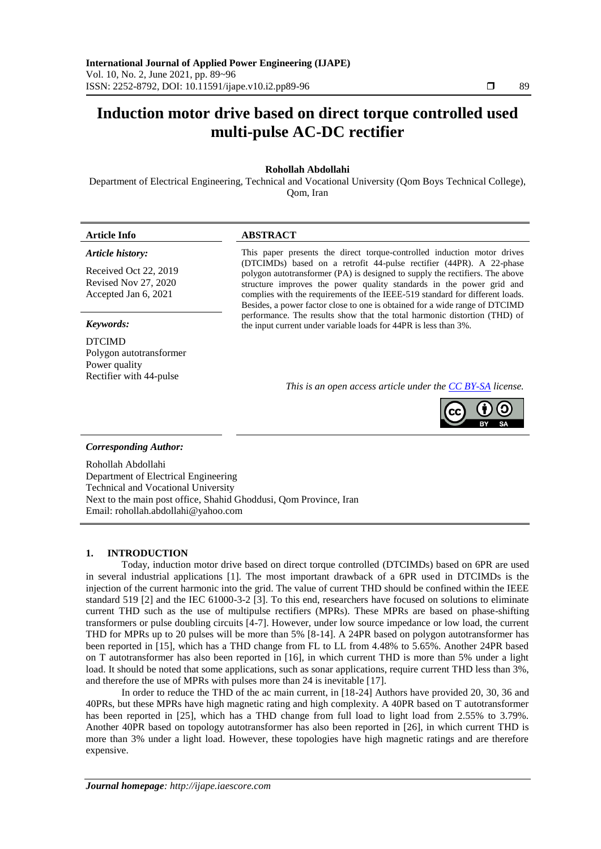# **Induction motor drive based on direct torque controlled used multi-pulse AC-DC rectifier**

### **Rohollah Abdollahi**

Department of Electrical Engineering, Technical and Vocational University (Qom Boys Technical College), Qom, Iran

#### **Article Info ABSTRACT**

*Article history:*

Received Oct 22, 2019 Revised Nov 27, 2020 Accepted Jan 6, 2021

DTCIMD Polygon autotransformer Power quality Rectifier with 44-pulse

This paper presents the direct torque-controlled induction motor drives (DTCIMDs) based on a retrofit 44-pulse rectifier (44PR). A 22-phase polygon autotransformer (PA) is designed to supply the rectifiers. The above structure improves the power quality standards in the power grid and complies with the requirements of the IEEE-519 standard for different loads. Besides, a power factor close to one is obtained for a wide range of DTCIMD performance. The results show that the total harmonic distortion (THD) of *Keywords:* the input current under variable loads for 44PR is less than 3%.

*This is an open access article under the [CC BY-SA](https://creativecommons.org/licenses/by-sa/4.0/) license.*



#### *Corresponding Author:*

Rohollah Abdollahi Department of Electrical Engineering Technical and Vocational University Next to the main post office, Shahid Ghoddusi, Qom Province, Iran Email: rohollah.abdollahi@yahoo.com

#### **1. INTRODUCTION**

Today, induction motor drive based on direct torque controlled (DTCIMDs) based on 6PR are used in several industrial applications [1]. The most important drawback of a 6PR used in DTCIMDs is the injection of the current harmonic into the grid. The value of current THD should be confined within the IEEE standard 519 [2] and the IEC 61000-3-2 [3]. To this end, researchers have focused on solutions to eliminate current THD such as the use of multipulse rectifiers (MPRs). These MPRs are based on phase-shifting transformers or pulse doubling circuits [4-7]. However, under low source impedance or low load, the current THD for MPRs up to 20 pulses will be more than 5% [8-14]. A 24PR based on polygon autotransformer has been reported in [15], which has a THD change from FL to LL from 4.48% to 5.65%. Another 24PR based on T autotransformer has also been reported in [16], in which current THD is more than 5% under a light load. It should be noted that some applications, such as sonar applications, require current THD less than 3%, and therefore the use of MPRs with pulses more than 24 is inevitable [17].

In order to reduce the THD of the ac main current, in [18-24] Authors have provided 20, 30, 36 and 40PRs, but these MPRs have high magnetic rating and high complexity. A 40PR based on T autotransformer has been reported in [25], which has a THD change from full load to light load from 2.55% to 3.79%. Another 40PR based on topology autotransformer has also been reported in [26], in which current THD is more than 3% under a light load. However, these topologies have high magnetic ratings and are therefore expensive.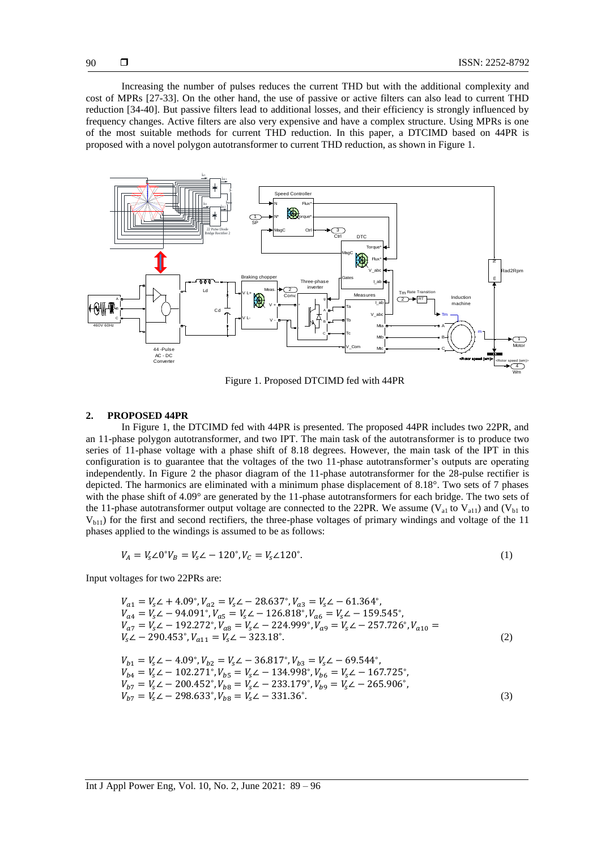Increasing the number of pulses reduces the current THD but with the additional complexity and cost of MPRs [27-33]. On the other hand, the use of passive or active filters can also lead to current THD reduction [34-40]. But passive filters lead to additional losses, and their efficiency is strongly influenced by frequency changes. Active filters are also very expensive and have a complex structure. Using MPRs is one of the most suitable methods for current THD reduction. In this paper, a DTCIMD based on 44PR is proposed with a novel polygon autotransformer to current THD reduction, as shown in Figure 1.



Figure 1. Proposed DTCIMD fed with 44PR

#### **2. PROPOSED 44PR**

In Figure 1, the DTCIMD fed with 44PR is presented. The proposed 44PR includes two 22PR, and an 11-phase polygon autotransformer, and two IPT. The main task of the autotransformer is to produce two series of 11-phase voltage with a phase shift of 8.18 degrees. However, the main task of the IPT in this configuration is to guarantee that the voltages of the two 11-phase autotransformer's outputs are operating independently. In Figure 2 the phasor diagram of the 11-phase autotransformer for the 28-pulse rectifier is depicted. The harmonics are eliminated with a minimum phase displacement of 8.18°. Two sets of 7 phases with the phase shift of 4.09° are generated by the 11-phase autotransformers for each bridge. The two sets of the 11-phase autotransformer output voltage are connected to the 22PR. We assume  $(V_{a1}$  to  $V_{a11})$  and  $(V_{b1}$  to  $V_{b11}$ ) for the first and second rectifiers, the three-phase voltages of primary windings and voltage of the 11 phases applied to the windings is assumed to be as follows:

$$
V_A = V_s \angle 0^\circ V_B = V_s \angle -120^\circ, V_C = V_s \angle 120^\circ.
$$
 (1)

Input voltages for two 22PRs are:

$$
V_{a1} = V_s \angle + 4.09^\circ, V_{a2} = V_s \angle - 28.637^\circ, V_{a3} = V_s \angle - 61.364^\circ,
$$
  
\n
$$
V_{a4} = V_s \angle - 94.091^\circ, V_{a5} = V_s \angle - 126.818^\circ, V_{a6} = V_s \angle - 159.545^\circ,
$$
  
\n
$$
V_{a7} = V_s \angle - 192.272^\circ, V_{a8} = V_s \angle - 224.999^\circ, V_{a9} = V_s \angle - 257.726^\circ, V_{a10} =
$$
  
\n
$$
V_{b1} = V_s \angle - 290.453^\circ, V_{a11} = V_s \angle - 323.18^\circ.
$$
  
\n
$$
V_{b1} = V_s \angle - 4.09^\circ, V_{b2} = V_s \angle - 36.817^\circ, V_{b3} = V_s \angle - 69.544^\circ,
$$
  
\n
$$
V_{b4} = V_s \angle - 102.271^\circ, V_{b5} = V_s \angle - 134.998^\circ, V_{b6} = V_s \angle - 167.725^\circ,
$$
  
\n
$$
V_{b7} = V_s \angle - 200.452^\circ, V_{b8} = V_s \angle - 233.179^\circ, V_{b9} = V_s \angle - 265.906^\circ,
$$

$$
V_{b7} = V_s \angle -298.633^\circ, V_{b8} = V_s \angle -331.36^\circ. \tag{3}
$$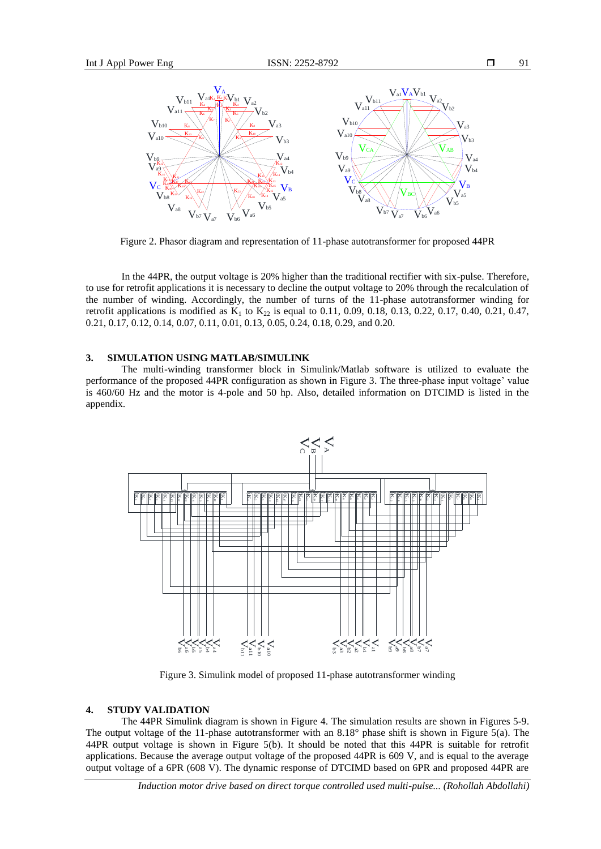



Figure 2. Phasor diagram and representation of 11-phase autotransformer for proposed 44PR

In the 44PR, the output voltage is 20% higher than the traditional rectifier with six-pulse. Therefore, to use for retrofit applications it is necessary to decline the output voltage to 20% through the recalculation of the number of winding. Accordingly, the number of turns of the 11-phase autotransformer winding for retrofit applications is modified as  $K_1$  to  $K_{22}$  is equal to 0.11, 0.09, 0.18, 0.13, 0.22, 0.17, 0.40, 0.21, 0.47, 0.21, 0.17, 0.12, 0.14, 0.07, 0.11, 0.01, 0.13, 0.05, 0.24, 0.18, 0.29, and 0.20.

## **3. SIMULATION USING MATLAB/SIMULINK**

The multi-winding transformer block in Simulink/Matlab software is utilized to evaluate the performance of the proposed 44PR configuration as shown in Figure 3. The three-phase input voltage' value is 460/60 Hz and the motor is 4-pole and 50 hp. Also, detailed information on DTCIMD is listed in the appendix.



Figure 3. Simulink model of proposed 11-phase autotransformer winding

### **4. STUDY VALIDATION**

The 44PR Simulink diagram is shown in Figure 4. The simulation results are shown in Figures 5-9. The output voltage of the 11-phase autotransformer with an 8.18° phase shift is shown in Figure 5(a). The 44PR output voltage is shown in Figure 5(b). It should be noted that this 44PR is suitable for retrofit applications. Because the average output voltage of the proposed 44PR is 609 V, and is equal to the average output voltage of a 6PR (608 V). The dynamic response of DTCIMD based on 6PR and proposed 44PR are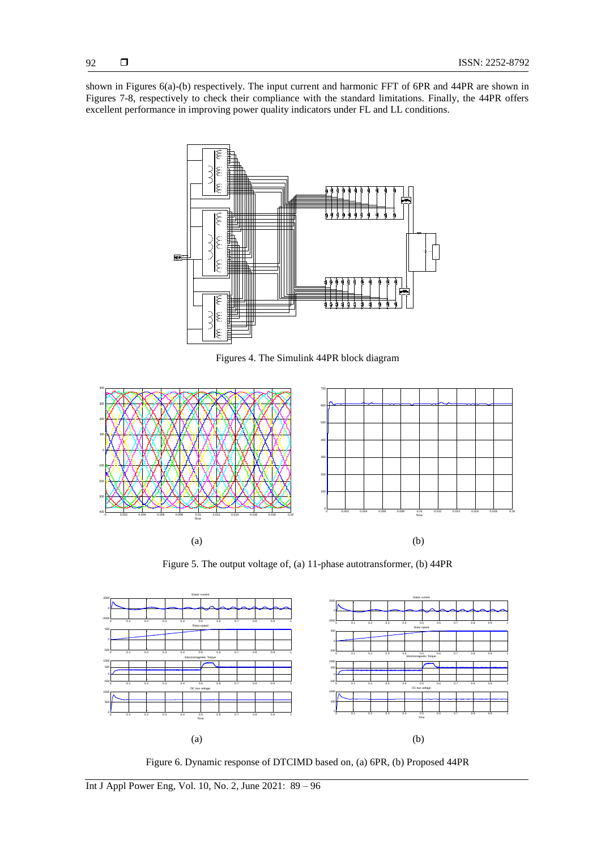shown in Figures 6(a)-(b) respectively. The input current and harmonic FFT of 6PR and 44PR are shown in Figures 7-8, respectively to check their compliance with the standard limitations. Finally, the 44PR offers excellent performance in improving power quality indicators under FL and LL conditions.



Figures 4. The Simulink 44PR block diagram



Figure 5. The output voltage of, (a) 11-phase autotransformer, (b) 44PR



Figure 6. Dynamic response of DTCIMD based on, (a) 6PR, (b) Proposed 44PR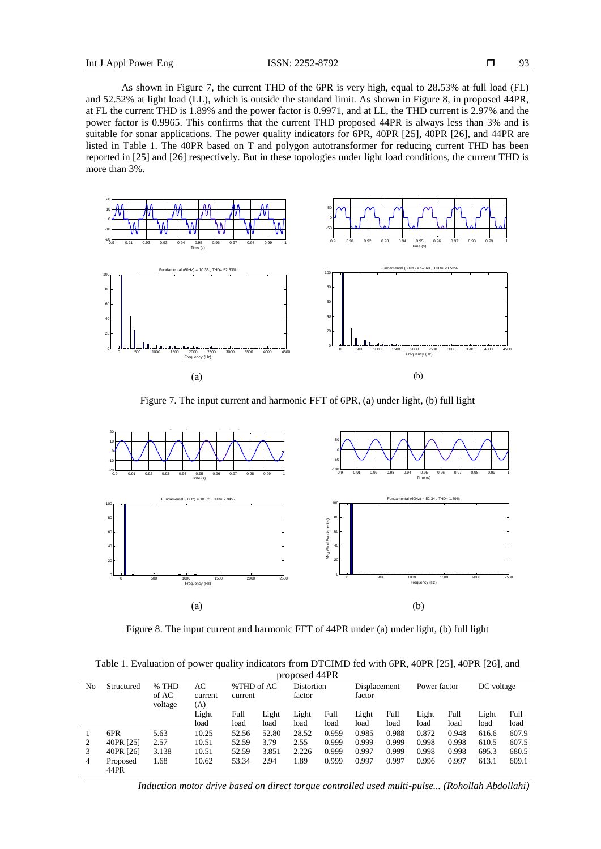As shown in Figure 7, the current THD of the 6PR is very high, equal to 28.53% at full load (FL) and 52.52% at light load (LL), which is outside the standard limit. As shown in Figure 8, in proposed 44PR, at FL the current THD is 1.89% and the power factor is 0.9971, and at LL, the THD current is 2.97% and the power factor is 0.9965. This confirms that the current THD proposed 44PR is always less than 3% and is suitable for sonar applications. The power quality indicators for 6PR, 40PR [25], 40PR [26], and 44PR are listed in Table 1. The 40PR based on T and polygon autotransformer for reducing current THD has been reported in [25] and [26] respectively. But in these topologies under light load conditions, the current THD is more than 3%.



Figure 7. The input current and harmonic FFT of 6PR, (a) under light, (b) full light



Figure 8. The input current and harmonic FFT of 44PR under (a) under light, (b) full light

Table 1. Evaluation of power quality indicators from DTCIMD fed with 6PR, 40PR [25], 40PR [26], and proposed 44PR

| PIUPUSUU TTI IV |            |         |         |            |       |            |       |              |       |              |       |            |       |
|-----------------|------------|---------|---------|------------|-------|------------|-------|--------------|-------|--------------|-------|------------|-------|
| No              | Structured | % THD   | AC      | %THD of AC |       | Distortion |       | Displacement |       | Power factor |       | DC voltage |       |
|                 |            | of AC   | current | current    |       | factor     |       | factor       |       |              |       |            |       |
|                 |            | voltage | (A)     |            |       |            |       |              |       |              |       |            |       |
|                 |            |         | Light   | Full       | Light | Light      | Full  | Light        | Full  | Light        | Full  | Light      | Full  |
|                 |            |         | load    | load       | load  | load       | load  | load         | load  | load         | load  | load       | load  |
|                 | 6PR        | 5.63    | 10.25   | 52.56      | 52.80 | 28.52      | 0.959 | 0.985        | 0.988 | 0.872        | 0.948 | 616.6      | 607.9 |
|                 | 40PR [25]  | 2.57    | 10.51   | 52.59      | 3.79  | 2.55       | 0.999 | 0.999        | 0.999 | 0.998        | 0.998 | 610.5      | 607.5 |
|                 | 40PR [26]  | 3.138   | 10.51   | 52.59      | 3.851 | 2.226      | 0.999 | 0.997        | 0.999 | 0.998        | 0.998 | 695.3      | 680.5 |
| 4               | Proposed   | 1.68    | 10.62   | 53.34      | 2.94  | 1.89       | 0.999 | 0.997        | 0.997 | 0.996        | 0.997 | 613.1      | 609.1 |
|                 | 44PR       |         |         |            |       |            |       |              |       |              |       |            |       |

*Induction motor drive based on direct torque controlled used multi-pulse... (Rohollah Abdollahi)*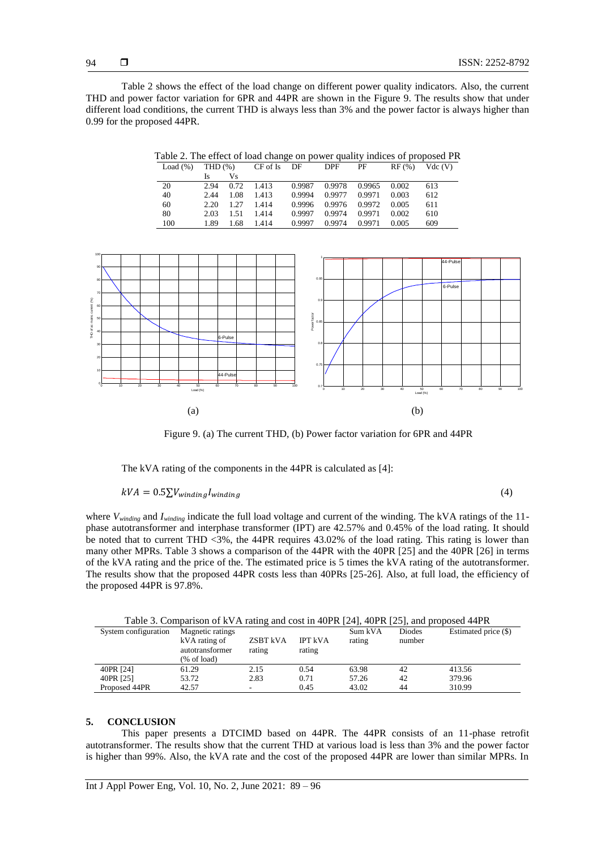Table 2 shows the effect of the load change on different power quality indicators. Also, the current THD and power factor variation for 6PR and 44PR are shown in the Figure 9. The results show that under different load conditions, the current THD is always less than 3% and the power factor is always higher than 0.99 for the proposed 44PR.

| Table 2. The effect of load change on power quality indices of proposed PR |  |  |  |
|----------------------------------------------------------------------------|--|--|--|
|----------------------------------------------------------------------------|--|--|--|

| Load $(\%)$ | THD $(\%)$ |      | CF of Is | DF     | <b>DPF</b> | PF     | RF(%) | Vdc(V) |
|-------------|------------|------|----------|--------|------------|--------|-------|--------|
|             | Is         | Vs   |          |        |            |        |       |        |
| 20          | 2.94       | 0.72 | 1.413    | 0.9987 | 0.9978     | 0.9965 | 0.002 | 613    |
| 40          | 2.44       | 1.08 | 1.413    | 0.9994 | 0.9977     | 0.9971 | 0.003 | 612    |
| 60          | 2.20       | 1.27 | 1.414    | 0.9996 | 0.9976     | 0.9972 | 0.005 | 611    |
| 80          | 2.03       | 1.51 | 1.414    | 0.9997 | 0.9974     | 0.9971 | 0.002 | 610    |
| 100         | 1.89       | 1.68 | 1.414    | 0.9997 | 0.9974     | 0.9971 | 0.005 | 609    |



Figure 9. (a) The current THD, (b) Power factor variation for 6PR and 44PR

The kVA rating of the components in the 44PR is calculated as [4]:

 $kVA = 0.5\sum V_{winding} I_{winding}$  (4)

where *Vwinding* and *Iwinding* indicate the full load voltage and current of the winding. The kVA ratings of the 11 phase autotransformer and interphase transformer (IPT) are 42.57% and 0.45% of the load rating. It should be noted that to current THD <3%, the 44PR requires 43.02% of the load rating. This rating is lower than many other MPRs. Table 3 shows a comparison of the 44PR with the 40PR [25] and the 40PR [26] in terms of the kVA rating and the price of the. The estimated price is 5 times the kVA rating of the autotransformer. The results show that the proposed 44PR costs less than 40PRs [25-26]. Also, at full load, the efficiency of the proposed 44PR is 97.8%.

Table 3. Comparison of kVA rating and cost in 40PR [24], 40PR [25], and proposed 44PR

| System configuration | Magnetic ratings<br>kVA rating of<br>autotransformer<br>(% of load) | ZSBT kVA<br>rating | <b>IPT kVA</b><br>rating | Sum kVA<br>rating | Diodes<br>number | Estimated price (\$) |
|----------------------|---------------------------------------------------------------------|--------------------|--------------------------|-------------------|------------------|----------------------|
| 40PR [24]            | 61.29                                                               | 2.15               | 0.54                     | 63.98             | 42               | 413.56               |
| 40PR [25]            | 53.72                                                               | 2.83               | 0.71                     | 57.26             | 42               | 379.96               |
| Proposed 44PR        | 42.57                                                               |                    | 0.45                     | 43.02             | 44               | 310.99               |

#### **5. CONCLUSION**

This paper presents a DTCIMD based on 44PR. The 44PR consists of an 11-phase retrofit autotransformer. The results show that the current THD at various load is less than 3% and the power factor is higher than 99%. Also, the kVA rate and the cost of the proposed 44PR are lower than similar MPRs. In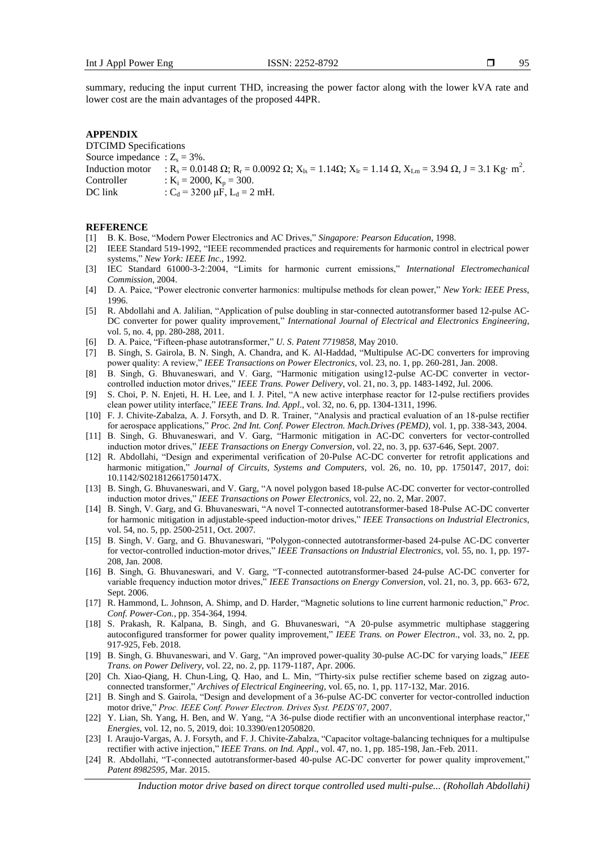summary, reducing the input current THD, increasing the power factor along with the lower kVA rate and lower cost are the main advantages of the proposed 44PR.

#### **APPENDIX**

DTCIMD Specifications Source impedance :  $Z_s = 3\%$ . Induction motor : R<sub>s</sub> = 0.0148 Ω; R<sub>r</sub> = 0.0092 Ω; X<sub>ls</sub> = 1.14Ω; X<sub>lr</sub> = 1.14 Ω, X<sub>Lm</sub> = 3.94 Ω, J = 3.1 Kg· m<sup>2</sup>. Controller :  $K_i = 2000$ ,  $K_p = 300$ .<br>DC link :  $C_d = 3200 \text{ µF}$ ,  $L_d = 2$ :  $C_d = 3200 \mu F$ ,  $L_d = 2 \mu H$ .

#### **REFERENCE**

- [1] B. K. Bose, "Modern Power Electronics and AC Drives," *Singapore: Pearson Education*, 1998.
- [2] IEEE Standard 519-1992, "IEEE recommended practices and requirements for harmonic control in electrical power systems," *New York: IEEE Inc*., 1992.
- [3] IEC Standard 61000-3-2:2004, "Limits for harmonic current emissions," *International Electromechanical Commission*, 2004.
- [4] D. A. Paice, "Power electronic converter harmonics: multipulse methods for clean power," *New York: IEEE Press*, 1996.
- [5] R. Abdollahi and A. Jalilian, "Application of pulse doubling in star-connected autotransformer based 12-pulse AC-DC converter for power quality improvement," *International Journal of Electrical and Electronics Engineering*, vol. 5, no. 4, pp. 280-288, 2011.
- [6] D. A. Paice, "Fifteen-phase autotransformer," *U. S. Patent 7719858*, May 2010.
- [7] B. Singh, S. Gairola, B. N. Singh, A. Chandra, and K. Al-Haddad, "Multipulse AC-DC converters for improving power quality: A review," *IEEE Transactions on Power Electronics*, vol. 23, no. 1, pp. 260-281, Jan. 2008.
- [8] B. Singh, G. Bhuvaneswari, and V. Garg, "Harmonic mitigation using12-pulse AC-DC converter in vectorcontrolled induction motor drives," *IEEE Trans. Power Delivery*, vol. 21, no. 3, pp. 1483-1492, Jul. 2006.
- [9] S. Choi, P. N. Enjeti, H. H. Lee, and I. J. Pitel, "A new active interphase reactor for 12-pulse rectifiers provides clean power utility interface," *IEEE Trans. Ind. Appl*., vol. 32, no. 6, pp. 1304-1311, 1996.
- [10] F. J. Chivite-Zabalza, A. J. Forsyth, and D. R. Trainer, "Analysis and practical evaluation of an 18-pulse rectifier for aerospace applications," *Proc. 2nd Int. Conf. Power Electron. Mach.Drives (PEMD),* vol. 1, pp. 338-343, 2004.
- [11] B. Singh, G. Bhuvaneswari, and V. Garg, "Harmonic mitigation in AC-DC converters for vector-controlled induction motor drives," *IEEE Transactions on Energy Conversion*, vol. 22, no. 3, pp. 637-646, Sept. 2007.
- [12] R. Abdollahi, "Design and experimental verification of 20-Pulse AC-DC converter for retrofit applications and harmonic mitigation," *Journal of Circuits, Systems and Computers*, vol. 26, no. 10, pp. 1750147, 2017, doi: 10.1142/S021812661750147X.
- [13] B. Singh, G. Bhuvaneswari, and V. Garg, "A novel polygon based 18-pulse AC-DC converter for vector-controlled induction motor drives," *IEEE Transactions on Power Electronics*, vol. 22, no. 2, Mar. 2007.
- [14] B. Singh, V. Garg, and G. Bhuvaneswari, "A novel T-connected autotransformer-based 18-Pulse AC-DC converter for harmonic mitigation in adjustable-speed induction-motor drives," *IEEE Transactions on Industrial Electronics*, vol. 54, no. 5, pp. 2500-2511, Oct. 2007.
- [15] B. Singh, V. Garg, and G. Bhuvaneswari, "Polygon-connected autotransformer-based 24-pulse AC-DC converter for vector-controlled induction-motor drives," *IEEE Transactions on Industrial Electronics*, vol. 55, no. 1, pp. 197- 208, Jan. 2008.
- [16] B. Singh, G. Bhuvaneswari, and V. Garg, "T-connected autotransformer-based 24-pulse AC-DC converter for variable frequency induction motor drives," *IEEE Transactions on Energy Conversion*, vol. 21, no. 3, pp. 663- 672, Sept. 2006.
- [17] R. Hammond, L. Johnson, A. Shimp, and D. Harder, "Magnetic solutions to line current harmonic reduction," *Proc. Conf. Power-Con.*, pp. 354-364, 1994.
- [18] S. Prakash, R. Kalpana, B. Singh, and G. Bhuvaneswari, "A 20-pulse asymmetric multiphase staggering autoconfigured transformer for power quality improvement," *IEEE Trans. on Power Electron*., vol. 33, no. 2, pp. 917-925, Feb. 2018.
- [19] B. Singh, G. Bhuvaneswari, and V. Garg, "An improved power-quality 30-pulse AC-DC for varying loads," *IEEE Trans. on Power Delivery*, vol. 22, no. 2, pp. 1179-1187, Apr. 2006.
- [20] Ch. Xiao-Qiang, H. Chun-Ling, Q. Hao, and L. Min, "Thirty-six pulse rectifier scheme based on zigzag autoconnected transformer," *Archives of Electrical Engineering*, vol. 65, no. 1, pp. 117-132, Mar. 2016.
- [21] B. Singh and S. Gairola, "Design and development of a 36-pulse AC-DC converter for vector-controlled induction motor drive," *Proc. IEEE Conf. Power Electron. Drives Syst. PEDS'07*, 2007.
- [22] Y. Lian, Sh. Yang, H. Ben, and W. Yang, "A 36-pulse diode rectifier with an unconventional interphase reactor," *Energies*, vol. 12, no. 5, 2019, doi: 10.3390/en12050820.
- [23] I. Araujo-Vargas, A. J. Forsyth, and F. J. Chivite-Zabalza, "Capacitor voltage-balancing techniques for a multipulse rectifier with active injection," *IEEE Trans. on Ind. Appl*., vol. 47, no. 1, pp. 185-198, Jan.-Feb. 2011.
- [24] R. Abdollahi, "T-connected autotransformer-based 40-pulse AC-DC converter for power quality improvement," *Patent 8982595*, Mar. 2015.